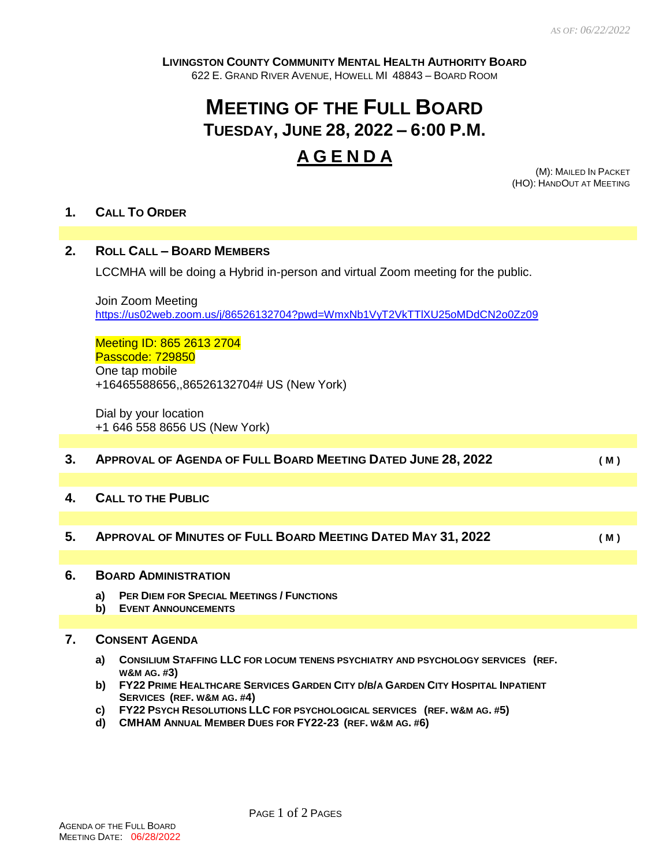**LIVINGSTON COUNTY COMMUNITY MENTAL HEALTH AUTHORITY BOARD** 622 E. GRAND RIVER AVENUE, HOWELL MI 48843 – BOARD ROOM

### **MEETING OF THE FULL BOARD TUESDAY, JUNE 28, 2022 – 6:00 P.M.**

## **A G E N D A**

(M): MAILED IN PACKET (HO): HANDOUT AT MEETING

#### **1. CALL TO ORDER**

# **2. ROLL CALL – BOARD MEMBERS** LCCMHA will be doing a Hybrid in-person and virtual Zoom meeting for the public. Join Zoom Meeting <https://us02web.zoom.us/j/86526132704?pwd=WmxNb1VyT2VkTTlXU25oMDdCN2o0Zz09> Meeting ID: 865 2613 2704 Passcode: 729850 One tap mobile +16465588656,,86526132704# US (New York) Dial by your location +1 646 558 8656 US (New York) **3. APPROVAL OF AGENDA OF FULL BOARD MEETING DATED JUNE 28, 2022 ( M ) 4. CALL TO THE PUBLIC 5. APPROVAL OF MINUTES OF FULL BOARD MEETING DATED MAY 31, 2022 ( M )**

#### **6. BOARD ADMINISTRATION**

- **a) PER DIEM FOR SPECIAL MEETINGS / FUNCTIONS**
- **b) EVENT ANNOUNCEMENTS**

#### **7. CONSENT AGENDA**

- **a) CONSILIUM STAFFING LLC FOR LOCUM TENENS PSYCHIATRY AND PSYCHOLOGY SERVICES (REF. W&M AG. #3)**
- b) FY22 PRIME HEALTHCARE SERVICES GARDEN CITY D/B/A GARDEN CITY HOSPITAL INPATIENT **SERVICES (REF. W&M AG. #4)**
- **c) FY22 PSYCH RESOLUTIONS LLC FOR PSYCHOLOGICAL SERVICES (REF. W&M AG. #5)**
- **d) CMHAM ANNUAL MEMBER DUES FOR FY22-23 (REF. W&M AG. #6)**